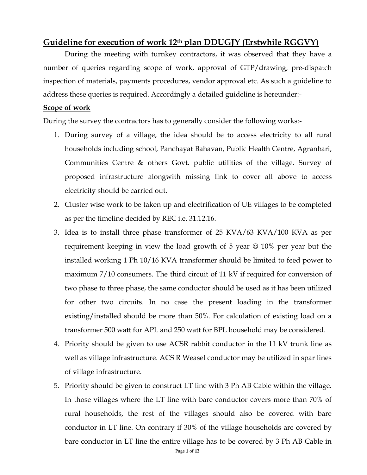### **Guideline for execution of work 12th plan DDUGJY (Erstwhile RGGVY)**

During the meeting with turnkey contractors, it was observed that they have a number of queries regarding scope of work, approval of GTP/drawing, pre-dispatch inspection of materials, payments procedures, vendor approval etc. As such a guideline to address these queries is required. Accordingly a detailed guideline is hereunder:-

#### **Scope of work**

During the survey the contractors has to generally consider the following works:-

- 1. During survey of a village, the idea should be to access electricity to all rural households including school, Panchayat Bahavan, Public Health Centre, Agranbari, Communities Centre & others Govt. public utilities of the village. Survey of proposed infrastructure alongwith missing link to cover all above to access electricity should be carried out.
- 2. Cluster wise work to be taken up and electrification of UE villages to be completed as per the timeline decided by REC i.e. 31.12.16.
- 3. Idea is to install three phase transformer of 25 KVA/63 KVA/100 KVA as per requirement keeping in view the load growth of 5 year @ 10% per year but the installed working 1 Ph 10/16 KVA transformer should be limited to feed power to maximum 7/10 consumers. The third circuit of 11 kV if required for conversion of two phase to three phase, the same conductor should be used as it has been utilized for other two circuits. In no case the present loading in the transformer existing/installed should be more than 50%. For calculation of existing load on a transformer 500 watt for APL and 250 watt for BPL household may be considered.
- 4. Priority should be given to use ACSR rabbit conductor in the 11 kV trunk line as well as village infrastructure. ACS R Weasel conductor may be utilized in spar lines of village infrastructure.
- 5. Priority should be given to construct LT line with 3 Ph AB Cable within the village. In those villages where the LT line with bare conductor covers more than 70% of rural households, the rest of the villages should also be covered with bare conductor in LT line. On contrary if 30% of the village households are covered by bare conductor in LT line the entire village has to be covered by 3 Ph AB Cable in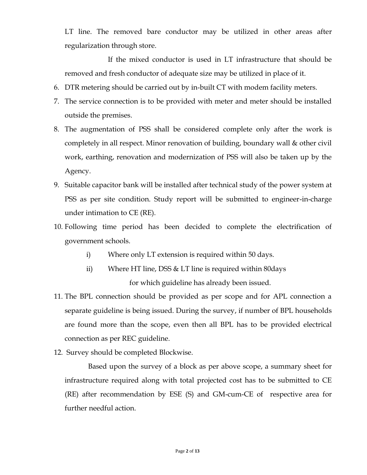LT line. The removed bare conductor may be utilized in other areas after regularization through store.

If the mixed conductor is used in LT infrastructure that should be removed and fresh conductor of adequate size may be utilized in place of it.

- 6. DTR metering should be carried out by in-built CT with modem facility meters.
- 7. The service connection is to be provided with meter and meter should be installed outside the premises.
- 8. The augmentation of PSS shall be considered complete only after the work is completely in all respect. Minor renovation of building, boundary wall & other civil work, earthing, renovation and modernization of PSS will also be taken up by the Agency.
- 9. Suitable capacitor bank will be installed after technical study of the power system at PSS as per site condition. Study report will be submitted to engineer-in-charge under intimation to CE (RE).
- 10. Following time period has been decided to complete the electrification of government schools.
	- i) Where only LT extension is required within 50 days.
	- ii) Where HT line, DSS & LT line is required within 80days for which guideline has already been issued.
- 11. The BPL connection should be provided as per scope and for APL connection a separate guideline is being issued. During the survey, if number of BPL households are found more than the scope, even then all BPL has to be provided electrical connection as per REC guideline.
- 12. Survey should be completed Blockwise.

Based upon the survey of a block as per above scope, a summary sheet for infrastructure required along with total projected cost has to be submitted to CE (RE) after recommendation by ESE (S) and GM-cum-CE of respective area for further needful action.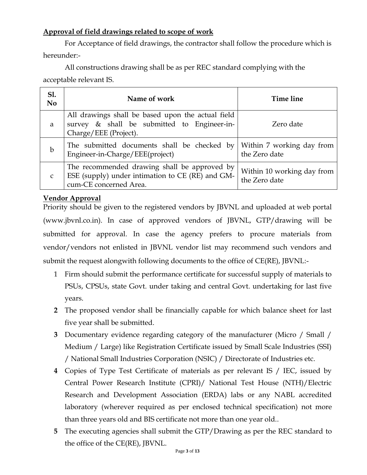### **Approval of field drawings related to scope of work**

For Acceptance of field drawings, the contractor shall follow the procedure which is hereunder:-

All constructions drawing shall be as per REC standard complying with the acceptable relevant IS.

| Sl.<br>N <sub>0</sub> | Name of work                                                                                                               | Time line                                   |
|-----------------------|----------------------------------------------------------------------------------------------------------------------------|---------------------------------------------|
| a                     | All drawings shall be based upon the actual field<br>survey & shall be submitted to Engineer-in-<br>Charge/EEE (Project).  | Zero date                                   |
| $\mathbf b$           | The submitted documents shall be checked by<br>Engineer-in-Charge/EEE(project)                                             | Within 7 working day from<br>the Zero date  |
| $\mathsf{C}$          | The recommended drawing shall be approved by<br>ESE (supply) under intimation to CE (RE) and GM-<br>cum-CE concerned Area. | Within 10 working day from<br>the Zero date |

## **Vendor Approval**

Priority should be given to the registered vendors by JBVNL and uploaded at web portal (www.jbvnl.co.in). In case of approved vendors of JBVNL, GTP/drawing will be submitted for approval. In case the agency prefers to procure materials from vendor/vendors not enlisted in JBVNL vendor list may recommend such vendors and submit the request alongwith following documents to the office of CE(RE), JBVNL:-

- 1 Firm should submit the performance certificate for successful supply of materials to PSUs, CPSUs, state Govt. under taking and central Govt. undertaking for last five years.
- **2** The proposed vendor shall be financially capable for which balance sheet for last five year shall be submitted.
- **3** Documentary evidence regarding category of the manufacturer (Micro / Small / Medium / Large) like Registration Certificate issued by Small Scale Industries (SSI) / National Small Industries Corporation (NSIC) / Directorate of Industries etc.
- **4** Copies of Type Test Certificate of materials as per relevant IS / IEC, issued by Central Power Research Institute (CPRI)/ National Test House (NTH)/Electric Research and Development Association (ERDA) labs or any NABL accredited laboratory (wherever required as per enclosed technical specification) not more than three years old and BIS certificate not more than one year old..
- **5** The executing agencies shall submit the GTP/Drawing as per the REC standard to the office of the CE(RE), JBVNL.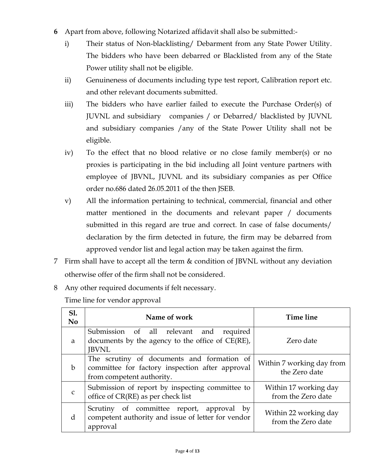- **6** Apart from above, following Notarized affidavit shall also be submitted:
	- i) Their status of Non-blacklisting/ Debarment from any State Power Utility. The bidders who have been debarred or Blacklisted from any of the State Power utility shall not be eligible.
	- ii) Genuineness of documents including type test report, Calibration report etc. and other relevant documents submitted.
	- iii) The bidders who have earlier failed to execute the Purchase Order(s) of JUVNL and subsidiary companies / or Debarred/ blacklisted by JUVNL and subsidiary companies /any of the State Power Utility shall not be eligible.
	- iv) To the effect that no blood relative or no close family member(s) or no proxies is participating in the bid including all Joint venture partners with employee of JBVNL, JUVNL and its subsidiary companies as per Office order no.686 dated 26.05.2011 of the then JSEB.
	- v) All the information pertaining to technical, commercial, financial and other matter mentioned in the documents and relevant paper / documents submitted in this regard are true and correct. In case of false documents/ declaration by the firm detected in future, the firm may be debarred from approved vendor list and legal action may be taken against the firm.
- 7 Firm shall have to accept all the term  $&$  condition of JBVNL without any deviation otherwise offer of the firm shall not be considered.
- 8 Any other required documents if felt necessary.

Time line for vendor approval

| <b>S1.</b><br>N <sub>0</sub> | Name of work                                                                                                               | Time line                                   |
|------------------------------|----------------------------------------------------------------------------------------------------------------------------|---------------------------------------------|
| a                            | Submission of all relevant and<br>required<br>documents by the agency to the office of $CE(RE)$ ,<br><b>JBVNL</b>          | Zero date                                   |
| $\mathbf b$                  | The scrutiny of documents and formation of<br>committee for factory inspection after approval<br>from competent authority. | Within 7 working day from<br>the Zero date  |
| $\mathcal{C}$                | Submission of report by inspecting committee to<br>office of CR(RE) as per check list                                      | Within 17 working day<br>from the Zero date |
| d                            | Scrutiny of committee report, approval by<br>competent authority and issue of letter for vendor<br>approval                | Within 22 working day<br>from the Zero date |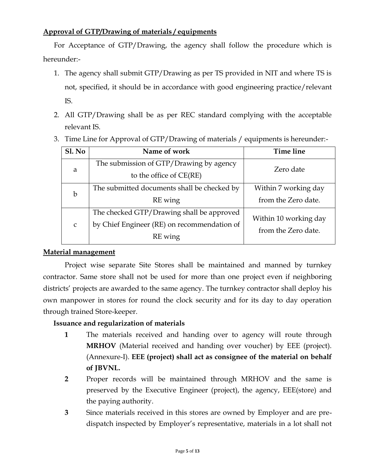#### **Approval of GTP/Drawing of materials / equipments**

For Acceptance of GTP/Drawing, the agency shall follow the procedure which is hereunder:-

- 1. The agency shall submit GTP/Drawing as per TS provided in NIT and where TS is not, specified, it should be in accordance with good engineering practice/relevant IS.
- 2. All GTP/Drawing shall be as per REC standard complying with the acceptable relevant IS.
- **Sl. No Name of work Time line** a The submission of GTP/Drawing by agency to the office of CE(RE) Zero date b The submitted documents shall be checked by RE wing Within 7 working day from the Zero date. c The checked GTP/Drawing shall be approved by Chief Engineer (RE) on recommendation of RE wing Within 10 working day from the Zero date.
- 3. Time Line for Approval of GTP/Drawing of materials / equipments is hereunder:-

#### **Material management**

Project wise separate Site Stores shall be maintained and manned by turnkey contractor. Same store shall not be used for more than one project even if neighboring districts' projects are awarded to the same agency. The turnkey contractor shall deploy his own manpower in stores for round the clock security and for its day to day operation through trained Store-keeper.

#### **Issuance and regularization of materials**

- **1** The materials received and handing over to agency will route through **MRHOV** (Material received and handing over voucher) by EEE (project). (Annexure-I). **EEE (project) shall act as consignee of the material on behalf of JBVNL.**
- **2** Proper records will be maintained through MRHOV and the same is preserved by the Executive Engineer (project), the agency, EEE(store) and the paying authority.
- **3** Since materials received in this stores are owned by Employer and are predispatch inspected by Employer's representative, materials in a lot shall not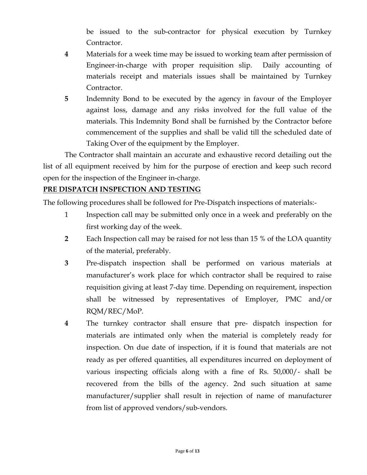be issued to the sub-contractor for physical execution by Turnkey Contractor.

- **4** Materials for a week time may be issued to working team after permission of Engineer-in-charge with proper requisition slip. Daily accounting of materials receipt and materials issues shall be maintained by Turnkey Contractor.
- **5** Indemnity Bond to be executed by the agency in favour of the Employer against loss, damage and any risks involved for the full value of the materials. This Indemnity Bond shall be furnished by the Contractor before commencement of the supplies and shall be valid till the scheduled date of Taking Over of the equipment by the Employer.

The Contractor shall maintain an accurate and exhaustive record detailing out the list of all equipment received by him for the purpose of erection and keep such record open for the inspection of the Engineer in-charge.

#### **PRE DISPATCH INSPECTION AND TESTING**

The following procedures shall be followed for Pre-Dispatch inspections of materials:-

- 1 Inspection call may be submitted only once in a week and preferably on the first working day of the week.
- **2** Each Inspection call may be raised for not less than 15 % of the LOA quantity of the material, preferably.
- **3** Pre-dispatch inspection shall be performed on various materials at manufacturer's work place for which contractor shall be required to raise requisition giving at least 7-day time. Depending on requirement, inspection shall be witnessed by representatives of Employer, PMC and/or RQM/REC/MoP.
- **4** The turnkey contractor shall ensure that pre- dispatch inspection for materials are intimated only when the material is completely ready for inspection. On due date of inspection, if it is found that materials are not ready as per offered quantities, all expenditures incurred on deployment of various inspecting officials along with a fine of Rs. 50,000/- shall be recovered from the bills of the agency. 2nd such situation at same manufacturer/supplier shall result in rejection of name of manufacturer from list of approved vendors/sub-vendors.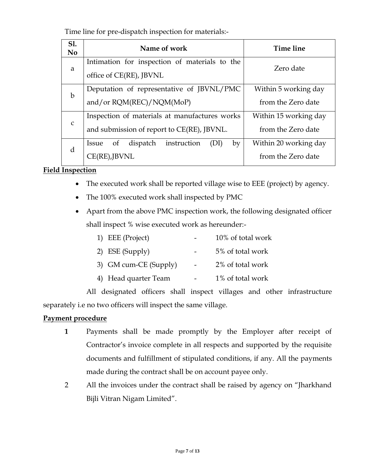Time line for pre-dispatch inspection for materials:-

| <b>S1.</b><br>N <sub>0</sub> | Name of work                                                                                | Time line                                   |  |  |  |  |
|------------------------------|---------------------------------------------------------------------------------------------|---------------------------------------------|--|--|--|--|
| a                            | Intimation for inspection of materials to the<br>office of CE(RE), JBVNL                    | Zero date                                   |  |  |  |  |
| $\mathbf b$                  | Deputation of representative of JBVNL/PMC<br>and/or RQM(REC)/NQM(MoP)                       | Within 5 working day<br>from the Zero date  |  |  |  |  |
| $\mathsf{C}$                 | Inspection of materials at manufactures works<br>and submission of report to CE(RE), JBVNL. | Within 15 working day<br>from the Zero date |  |  |  |  |
| d                            | instruction<br>dispatch<br>of<br>by<br>Issue<br>(DI)<br>CE(RE),I                            | Within 20 working day<br>from the Zero date |  |  |  |  |

#### **Field Inspection**

- The executed work shall be reported village wise to EEE (project) by agency.
- The 100% executed work shall inspected by PMC
- Apart from the above PMC inspection work, the following designated officer shall inspect % wise executed work as hereunder:-

| 1) EEE (Project)      | 10% of total work |
|-----------------------|-------------------|
| 2) ESE (Supply)       | 5% of total work  |
| 3) GM cum-CE (Supply) | 2% of total work  |
| 4) Head quarter Team  | 1% of total work  |

All designated officers shall inspect villages and other infrastructure separately i.e no two officers will inspect the same village.

#### **Payment procedure**

- **1** Payments shall be made promptly by the Employer after receipt of Contractor's invoice complete in all respects and supported by the requisite documents and fulfillment of stipulated conditions, if any. All the payments made during the contract shall be on account payee only.
- 2 All the invoices under the contract shall be raised by agency on "Jharkhand Bijli Vitran Nigam Limited".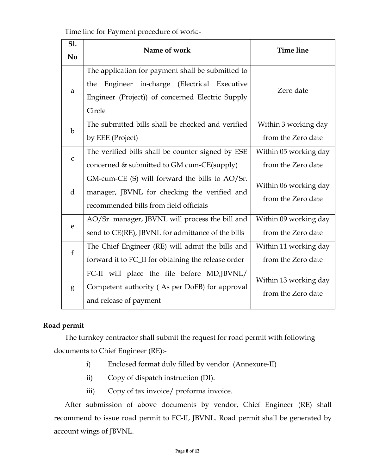Time line for Payment procedure of work:-

| <b>S1.</b><br>N <sub>0</sub> | Name of work                                                                                                                                                          | <b>Time line</b>                            |
|------------------------------|-----------------------------------------------------------------------------------------------------------------------------------------------------------------------|---------------------------------------------|
| a                            | The application for payment shall be submitted to<br>in-charge (Electrical Executive<br>Engineer<br>the<br>Engineer (Project)) of concerned Electric Supply<br>Circle | Zero date                                   |
| $\mathbf b$                  | The submitted bills shall be checked and verified<br>by EEE (Project)                                                                                                 | Within 3 working day<br>from the Zero date  |
| $\mathsf C$                  | The verified bills shall be counter signed by ESE<br>concerned & submitted to GM cum-CE(supply)                                                                       | Within 05 working day<br>from the Zero date |
| $\mathbf d$                  | GM-cum-CE (S) will forward the bills to AO/Sr.<br>manager, JBVNL for checking the verified and<br>recommended bills from field officials                              | Within 06 working day<br>from the Zero date |
| e                            | AO/Sr. manager, JBVNL will process the bill and<br>send to CE(RE), JBVNL for admittance of the bills                                                                  | Within 09 working day<br>from the Zero date |
| $\mathbf{f}$                 | The Chief Engineer (RE) will admit the bills and<br>forward it to FC_II for obtaining the release order                                                               | Within 11 working day<br>from the Zero date |
| g                            | FC-II will place the file before MD,JBVNL/<br>Competent authority (As per DoFB) for approval<br>and release of payment                                                | Within 13 working day<br>from the Zero date |

### **Road permit**

The turnkey contractor shall submit the request for road permit with following documents to Chief Engineer (RE):-

- i) Enclosed format duly filled by vendor. (Annexure-II)
- ii) Copy of dispatch instruction (DI).
- iii) Copy of tax invoice/ proforma invoice.

After submission of above documents by vendor, Chief Engineer (RE) shall recommend to issue road permit to FC-II, JBVNL. Road permit shall be generated by account wings of JBVNL.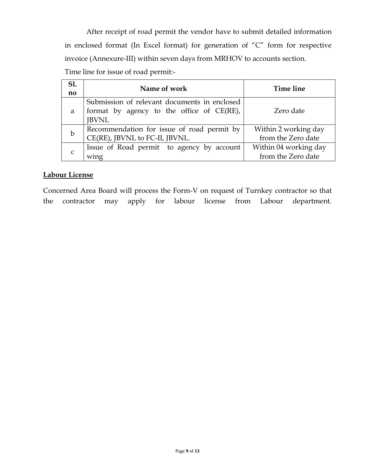After receipt of road permit the vendor have to submit detailed information in enclosed format (In Excel format) for generation of "C" form for respective invoice (Annexure-III) within seven days from MRHOV to accounts section. Time line for issue of road permit:-

| S1.<br>no   | Name of work                                                                                                 | Time line                                   |
|-------------|--------------------------------------------------------------------------------------------------------------|---------------------------------------------|
| a           | Submission of relevant documents in enclosed<br>format by agency to the office of $CE(RE)$ ,<br><b>JBVNL</b> | Zero date                                   |
| $\mathbf b$ | Recommendation for issue of road permit by<br>CE(RE), JBVNL to FC-II, JBVNL.                                 | Within 2 working day<br>from the Zero date  |
| C           | Issue of Road permit to agency by account<br>wing                                                            | Within 04 working day<br>from the Zero date |

#### **Labour License**

Concerned Area Board will process the Form-V on request of Turnkey contractor so that the contractor may apply for labour license from Labour department.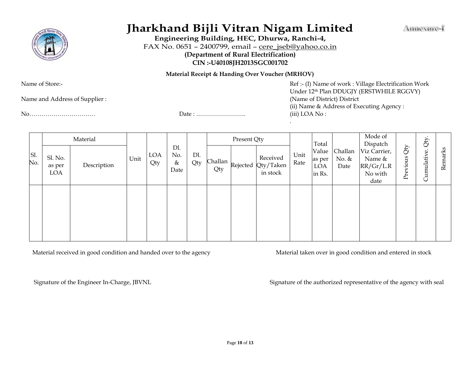

# **Jharkhand Bijli Vitran Nigam Limited**

**Engineering Building, HEC, Dhurwa, Ranchi-4,** FAX No. 0651 – 2400799, email – [cere\\_jseb@yahoo.co.in](mailto:cere_jseb@yahoo.co.in) **(Department of Rural Electrification) CIN :-U40108JH2013SGC001702**

**Material Receipt & Handing Over Voucher (MRHOV)**

Name and Address of Supplier : (Name of District) District

No…………………………… Date : ……………………. (iii) LOA No :

Name of Store:- The Store:- Ref :- (I) Name of work : Village Electrification Work Under 12th Plan DDUGJY (ERSTWHILE RGGVY) (ii) Name & Address of Executing Agency : .

|            | Material                 |             |      |            | Present Qty                |            |     |  | Total                                                      |              | Mode of<br>Dispatch              |                          | Qty.                                                   |                               |             |         |
|------------|--------------------------|-------------|------|------------|----------------------------|------------|-----|--|------------------------------------------------------------|--------------|----------------------------------|--------------------------|--------------------------------------------------------|-------------------------------|-------------|---------|
| Sl.<br>No. | Sl. No.<br>as per<br>LOA | Description | Unit | LOA<br>Qty | Dl.<br>No.<br>$\&$<br>Date | Dl.<br>Qty | Qty |  | Received<br>Challan $\kappa$ ejected Qty/Taken<br>in stock | Unit<br>Rate | Value<br>as per<br>LOA<br>in Rs. | Challan<br>No. &<br>Date | Viz Carrier,<br>Name &<br>RR/Gr/L.R<br>No with<br>date | $\Delta\tilde{D}$<br>Previous | Cumulative. | Remarks |
|            |                          |             |      |            |                            |            |     |  |                                                            |              |                                  |                          |                                                        |                               |             |         |

Material received in good condition and handed over to the agency Material taken over in good condition and entered in stock

Signature of the Engineer In-Charge, JBVNL Signature of the authorized representative of the agency with seal

Ammexure-I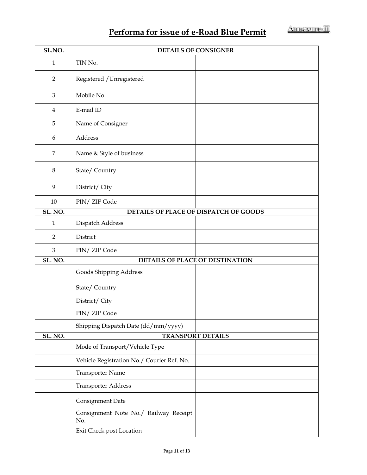## **Performa for issue of e-Road Blue Permit**

| SL.NO.         | <b>DETAILS OF CONSIGNER</b>                  |  |  |  |  |  |  |  |
|----------------|----------------------------------------------|--|--|--|--|--|--|--|
| $\mathbf{1}$   | TIN No.                                      |  |  |  |  |  |  |  |
| $\overline{2}$ | Registered / Unregistered                    |  |  |  |  |  |  |  |
| $\mathfrak{Z}$ | Mobile No.                                   |  |  |  |  |  |  |  |
| $\overline{4}$ | E-mail ID                                    |  |  |  |  |  |  |  |
| 5              | Name of Consigner                            |  |  |  |  |  |  |  |
| 6              | Address                                      |  |  |  |  |  |  |  |
| $\overline{7}$ | Name & Style of business                     |  |  |  |  |  |  |  |
| $\,8\,$        | State/Country                                |  |  |  |  |  |  |  |
| 9              | District/ City                               |  |  |  |  |  |  |  |
| $10\,$         | PIN/ ZIP Code                                |  |  |  |  |  |  |  |
| SL. NO.        | DETAILS OF PLACE OF DISPATCH OF GOODS        |  |  |  |  |  |  |  |
| $\mathbf{1}$   | Dispatch Address                             |  |  |  |  |  |  |  |
| $\overline{2}$ | District                                     |  |  |  |  |  |  |  |
| $\mathfrak{Z}$ | PIN/ ZIP Code                                |  |  |  |  |  |  |  |
| SL. NO.        | <b>DETAILS OF PLACE OF DESTINATION</b>       |  |  |  |  |  |  |  |
|                | Goods Shipping Address                       |  |  |  |  |  |  |  |
|                | State/Country                                |  |  |  |  |  |  |  |
|                | District/ City                               |  |  |  |  |  |  |  |
|                | PIN/ ZIP Code                                |  |  |  |  |  |  |  |
|                | Shipping Dispatch Date (dd/mm/yyyy)          |  |  |  |  |  |  |  |
| SL. NO.        | <b>TRANSPORT DETAILS</b>                     |  |  |  |  |  |  |  |
|                | Mode of Transport/Vehicle Type               |  |  |  |  |  |  |  |
|                | Vehicle Registration No./ Courier Ref. No.   |  |  |  |  |  |  |  |
|                | <b>Transporter Name</b>                      |  |  |  |  |  |  |  |
|                | <b>Transporter Address</b>                   |  |  |  |  |  |  |  |
|                | Consignment Date                             |  |  |  |  |  |  |  |
|                | Consignment Note No./ Railway Receipt<br>No. |  |  |  |  |  |  |  |
|                | Exit Check post Location                     |  |  |  |  |  |  |  |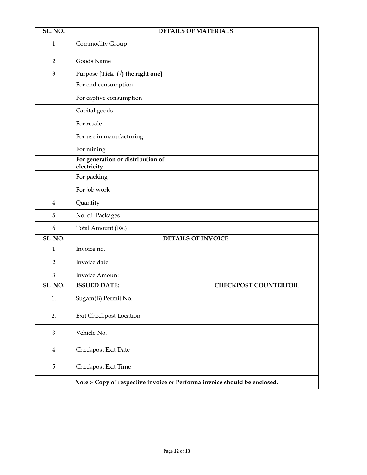| SL. NO.        |                                                                            | <b>DETAILS OF MATERIALS</b>  |
|----------------|----------------------------------------------------------------------------|------------------------------|
| $\mathbf{1}$   | Commodity Group                                                            |                              |
| $\overline{2}$ | Goods Name                                                                 |                              |
| 3              | Purpose [Tick $(\forall)$ the right one]                                   |                              |
|                | For end consumption                                                        |                              |
|                | For captive consumption                                                    |                              |
|                | Capital goods                                                              |                              |
|                | For resale                                                                 |                              |
|                | For use in manufacturing                                                   |                              |
|                | For mining                                                                 |                              |
|                | For generation or distribution of<br>electricity                           |                              |
|                | For packing                                                                |                              |
|                | For job work                                                               |                              |
| $\overline{4}$ | Quantity                                                                   |                              |
| 5              | No. of Packages                                                            |                              |
| 6              | Total Amount (Rs.)                                                         |                              |
| SL. NO.        |                                                                            | <b>DETAILS OF INVOICE</b>    |
| $\mathbf{1}$   | Invoice no.                                                                |                              |
| $\overline{2}$ | Invoice date                                                               |                              |
| 3              | Invoice Amount                                                             |                              |
| SL. NO.        | <b>ISSUED DATE:</b>                                                        | <b>CHECKPOST COUNTERFOIL</b> |
| 1.             | Sugam(B) Permit No.                                                        |                              |
| 2.             | Exit Checkpost Location                                                    |                              |
| $\mathfrak{Z}$ | Vehicle No.                                                                |                              |
| $\overline{4}$ | Checkpost Exit Date                                                        |                              |
| 5              | Checkpost Exit Time                                                        |                              |
|                | Note :- Copy of respective invoice or Performa invoice should be enclosed. |                              |